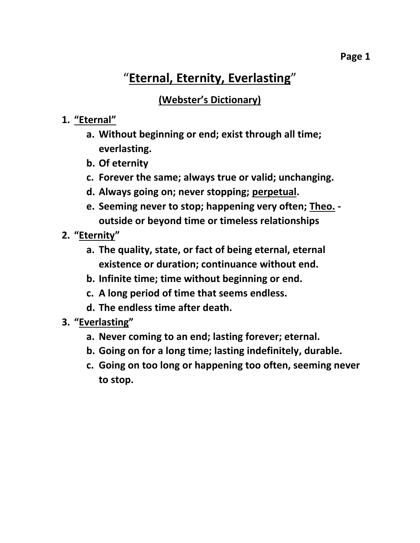# "**Eternal, Eternity, Everlasting**"

**(Webster's Dictionary)**

## **1. "Eternal"**

- **a. Without beginning or end; exist through all time; everlasting.**
- **b. Of eternity**
- **c. Forever the same; always true or valid; unchanging.**
- **d. Always going on; never stopping; perpetual.**
- **e. Seeming never to stop; happening very often; Theo. outside or beyond time or timeless relationships**
- **2. "Eternity"**
	- **a. The quality, state, or fact of being eternal, eternal existence or duration; continuance without end.**
	- **b. Infinite time; time without beginning or end.**
	- **c. A long period of time that seems endless.**
	- **d. The endless time after death.**
- **3. "Everlasting"**
	- **a. Never coming to an end; lasting forever; eternal.**
	- **b. Going on for a long time; lasting indefinitely, durable.**
	- **c. Going on too long or happening too often, seeming never to stop.**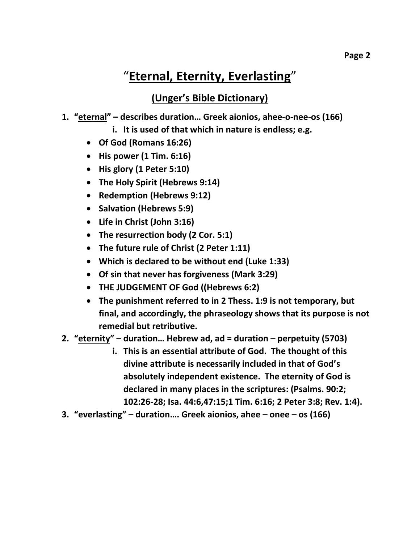## "**Eternal, Eternity, Everlasting**"

### **(Unger's Bible Dictionary)**

#### **1. "eternal" – describes duration… Greek aionios, ahee-o-nee-os (166)**

- **i. It is used of that which in nature is endless; e.g.**
- **Of God (Romans 16:26)**
- **His power (1 Tim. 6:16)**
- **His glory (1 Peter 5:10)**
- **The Holy Spirit (Hebrews 9:14)**
- **Redemption (Hebrews 9:12)**
- **•** Salvation (Hebrews 5:9)
- **Life in Christ (John 3:16)**
- **The resurrection body (2 Cor. 5:1)**
- **The future rule of Christ (2 Peter 1:11)**
- **Which is declared to be without end (Luke 1:33)**
- **Of sin that never has forgiveness (Mark 3:29)**
- **THE JUDGEMENT OF God ((Hebrews 6:2)**
- **The punishment referred to in 2 Thess. 1:9 is not temporary, but final, and accordingly, the phraseology shows that its purpose is not remedial but retributive.**
- **2. "eternity" – duration… Hebrew ad, ad = duration – perpetuity (5703)**
	- **i. This is an essential attribute of God. The thought of this divine attribute is necessarily included in that of God's absolutely independent existence. The eternity of God is declared in many places in the scriptures: (Psalms. 90:2; 102:26-28; Isa. 44:6,47:15;1 Tim. 6:16; 2 Peter 3:8; Rev. 1:4).**
- **3. "everlasting" – duration…. Greek aionios, ahee – onee – os (166)**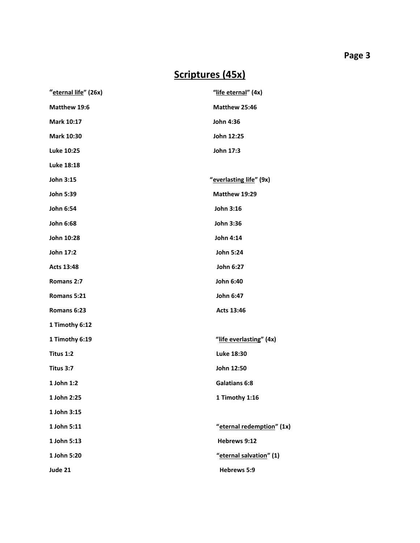## **Scriptures (45x)**

| "eternal life" (26x) | "life eternal" (4x)       |
|----------------------|---------------------------|
| Matthew 19:6         | Matthew 25:46             |
| <b>Mark 10:17</b>    | John 4:36                 |
| <b>Mark 10:30</b>    | John 12:25                |
| Luke 10:25           | John 17:3                 |
| Luke 18:18           |                           |
| John 3:15            | "everlasting life" (9x)   |
| <b>John 5:39</b>     | Matthew 19:29             |
| John 6:54            | John 3:16                 |
| John 6:68            | John 3:36                 |
| John 10:28           | John 4:14                 |
| John 17:2            | John 5:24                 |
| Acts 13:48           | John 6:27                 |
| Romans 2:7           | John 6:40                 |
| Romans 5:21          | John 6:47                 |
| Romans 6:23          | Acts 13:46                |
| 1 Timothy 6:12       |                           |
| 1 Timothy 6:19       | "life everlasting" (4x)   |
| Titus 1:2            | Luke 18:30                |
| Titus 3:7            | John 12:50                |
| 1 John 1:2           | <b>Galatians 6:8</b>      |
| 1 John 2:25          | 1 Timothy 1:16            |
| 1 John 3:15          |                           |
| 1 John 5:11          | "eternal redemption" (1x) |
| 1 John 5:13          | Hebrews 9:12              |
| 1 John 5:20          | "eternal salvation" (1)   |
| Jude 21              | Hebrews 5:9               |
|                      |                           |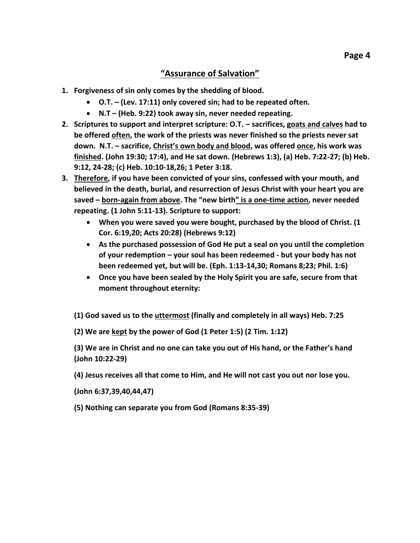#### **"Assurance of Salvation"**

- **1. Forgiveness of sin only comes by the shedding of blood.**
	- **O.T. – (Lev. 17:11) only covered sin; had to be repeated often.**
	- **N.T – (Heb. 9:22) took away sin, never needed repeating.**
- **2. Scriptures to support and interpret scripture: O.T. – sacrifices, goats and calves had to be offered often, the work of the priests was never finished so the priests never sat down. N.T. – sacrifice, Christ's own body and blood, was offered once, his work was finished. (John 19:30; 17:4), and He sat down. (Hebrews 1:3), (a) Heb. 7:22-27; (b) Heb. 9:12, 24-28; (c) Heb. 10:10-18,26; 1 Peter 3:18.**
- **3. Therefore, if you have been convicted of your sins, confessed with your mouth, and believed in the death, burial, and resurrection of Jesus Christ with your heart you are saved – born-again from above. The "new birth" is a one-time action, never needed repeating. (1 John 5:11-13). Scripture to support:**
	- **When you were saved you were bought, purchased by the blood of Christ. (1 Cor. 6:19,20; Acts 20:28) (Hebrews 9:12)**
	- **As the purchased possession of God He put a seal on you until the completion of your redemption – your soul has been redeemed - but your body has not been redeemed yet, but will be. (Eph. 1:13-14,30; Romans 8;23; Phil. 1:6)**
	- **Once you have been sealed by the Holy Spirit you are safe, secure from that moment throughout eternity:**

**(1) God saved us to the uttermost (finally and completely in all ways) Heb. 7:25**

**(2) We are kept by the power of God (1 Peter 1:5) (2 Tim. 1:12)**

**(3) We are in Christ and no one can take you out of His hand, or the Father's hand (John 10:22-29)**

**(4) Jesus receives all that come to Him, and He will not cast you out nor lose you.** 

**(John 6:37,39,40,44,47)**

**(5) Nothing can separate you from God (Romans 8:35-39)**